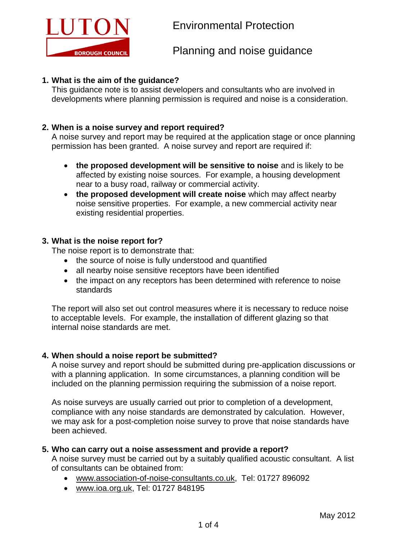

## **1. What is the aim of the guidance?**

This guidance note is to assist developers and consultants who are involved in developments where planning permission is required and noise is a consideration.

# **2. When is a noise survey and report required?**

A noise survey and report may be required at the application stage or once planning permission has been granted. A noise survey and report are required if:

- **the proposed development will be sensitive to noise** and is likely to be affected by existing noise sources. For example, a housing development near to a busy road, railway or commercial activity.
- **the proposed development will create noise** which may affect nearby noise sensitive properties. For example, a new commercial activity near existing residential properties.

## **3. What is the noise report for?**

The noise report is to demonstrate that:

- the source of noise is fully understood and quantified
- all nearby noise sensitive receptors have been identified
- the impact on any receptors has been determined with reference to noise standards

The report will also set out control measures where it is necessary to reduce noise to acceptable levels. For example, the installation of different glazing so that internal noise standards are met.

## **4. When should a noise report be submitted?**

A noise survey and report should be submitted during pre-application discussions or with a planning application. In some circumstances, a planning condition will be included on the planning permission requiring the submission of a noise report.

As noise surveys are usually carried out prior to completion of a development, compliance with any noise standards are demonstrated by calculation. However, we may ask for a post-completion noise survey to prove that noise standards have been achieved.

#### **5. Who can carry out a noise assessment and provide a report?**

A noise survey must be carried out by a suitably qualified acoustic consultant. A list of consultants can be obtained from:

- [www.association-of-noise-consultants.co.uk,](http://www.association-of-noise-consultants.co.uk/) Tel: 01727 896092
- [www.ioa.org.uk,](http://www.ioa.org.uk/) Tel: 01727 848195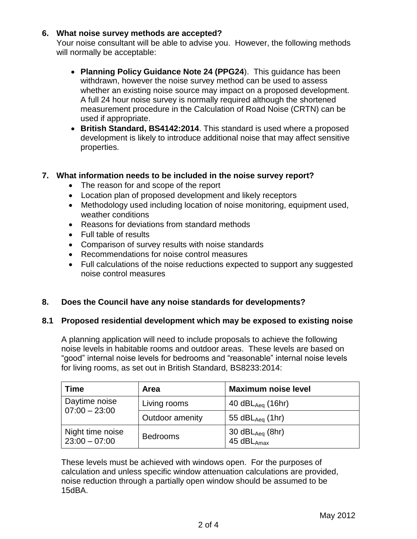## **6. What noise survey methods are accepted?**

Your noise consultant will be able to advise you. However, the following methods will normally be acceptable:

- **Planning Policy Guidance Note 24 (PPG24**). This guidance has been withdrawn, however the noise survey method can be used to assess whether an existing noise source may impact on a proposed development. A full 24 hour noise survey is normally required although the shortened measurement procedure in the Calculation of Road Noise (CRTN) can be used if appropriate.
- **British Standard, BS4142:2014**. This standard is used where a proposed development is likely to introduce additional noise that may affect sensitive properties.

## **7. What information needs to be included in the noise survey report?**

- The reason for and scope of the report
- Location plan of proposed development and likely receptors
- Methodology used including location of noise monitoring, equipment used, weather conditions
- Reasons for deviations from standard methods
- Full table of results
- Comparison of survey results with noise standards
- Recommendations for noise control measures
- Full calculations of the noise reductions expected to support any suggested noise control measures

#### **8. Does the Council have any noise standards for developments?**

#### **8.1 Proposed residential development which may be exposed to existing noise**

A planning application will need to include proposals to achieve the following noise levels in habitable rooms and outdoor areas. These levels are based on "good" internal noise levels for bedrooms and "reasonable" internal noise levels for living rooms, as set out in British Standard, BS8233:2014:

| <b>Time</b>                         | <b>Area</b>     | <b>Maximum noise level</b>              |
|-------------------------------------|-----------------|-----------------------------------------|
| Daytime noise<br>$07:00 - 23:00$    | Living rooms    | 40 $dBL_{Aeq}$ (16hr)                   |
|                                     | Outdoor amenity | 55 d $BL_{Aeq}$ (1hr)                   |
| Night time noise<br>$23:00 - 07:00$ | <b>Bedrooms</b> | 30 $dBL_{Aeq}$ (8hr)<br>45 $dBL_{Amax}$ |

These levels must be achieved with windows open. For the purposes of calculation and unless specific window attenuation calculations are provided, noise reduction through a partially open window should be assumed to be 15dBA.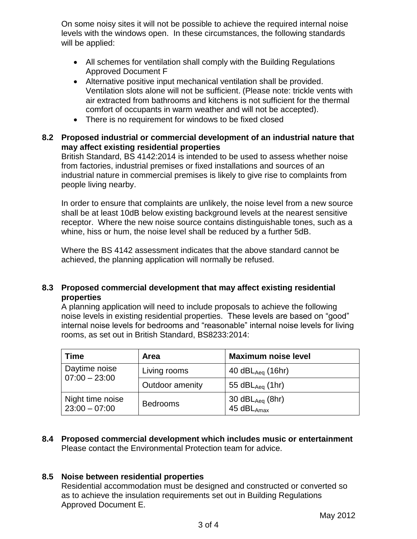On some noisy sites it will not be possible to achieve the required internal noise levels with the windows open. In these circumstances, the following standards will be applied:

- All schemes for ventilation shall comply with the Building Regulations Approved Document F
- Alternative positive input mechanical ventilation shall be provided. Ventilation slots alone will not be sufficient. (Please note: trickle vents with air extracted from bathrooms and kitchens is not sufficient for the thermal comfort of occupants in warm weather and will not be accepted).
- There is no requirement for windows to be fixed closed

## **8.2 Proposed industrial or commercial development of an industrial nature that may affect existing residential properties**

British Standard, BS 4142:2014 is intended to be used to assess whether noise from factories, industrial premises or fixed installations and sources of an industrial nature in commercial premises is likely to give rise to complaints from people living nearby.

In order to ensure that complaints are unlikely, the noise level from a new source shall be at least 10dB below existing background levels at the nearest sensitive receptor. Where the new noise source contains distinguishable tones, such as a whine, hiss or hum, the noise level shall be reduced by a further 5dB.

Where the BS 4142 assessment indicates that the above standard cannot be achieved, the planning application will normally be refused.

## **8.3 Proposed commercial development that may affect existing residential properties**

A planning application will need to include proposals to achieve the following noise levels in existing residential properties. These levels are based on "good" internal noise levels for bedrooms and "reasonable" internal noise levels for living rooms, as set out in British Standard, BS8233:2014:

| <b>Time</b>                         | <b>Area</b>     | <b>Maximum noise level</b>              |
|-------------------------------------|-----------------|-----------------------------------------|
| Daytime noise<br>$07:00 - 23:00$    | Living rooms    | 40 $dBL_{Aea}$ (16hr)                   |
|                                     | Outdoor amenity | 55 $dBL_{Aea}$ (1hr)                    |
| Night time noise<br>$23:00 - 07:00$ | <b>Bedrooms</b> | 30 $dBL_{Aeq}$ (8hr)<br>45 $dBL_{Amax}$ |

**8.4 Proposed commercial development which includes music or entertainment** Please contact the Environmental Protection team for advice.

## **8.5 Noise between residential properties**

Residential accommodation must be designed and constructed or converted so as to achieve the insulation requirements set out in Building Regulations Approved Document E.